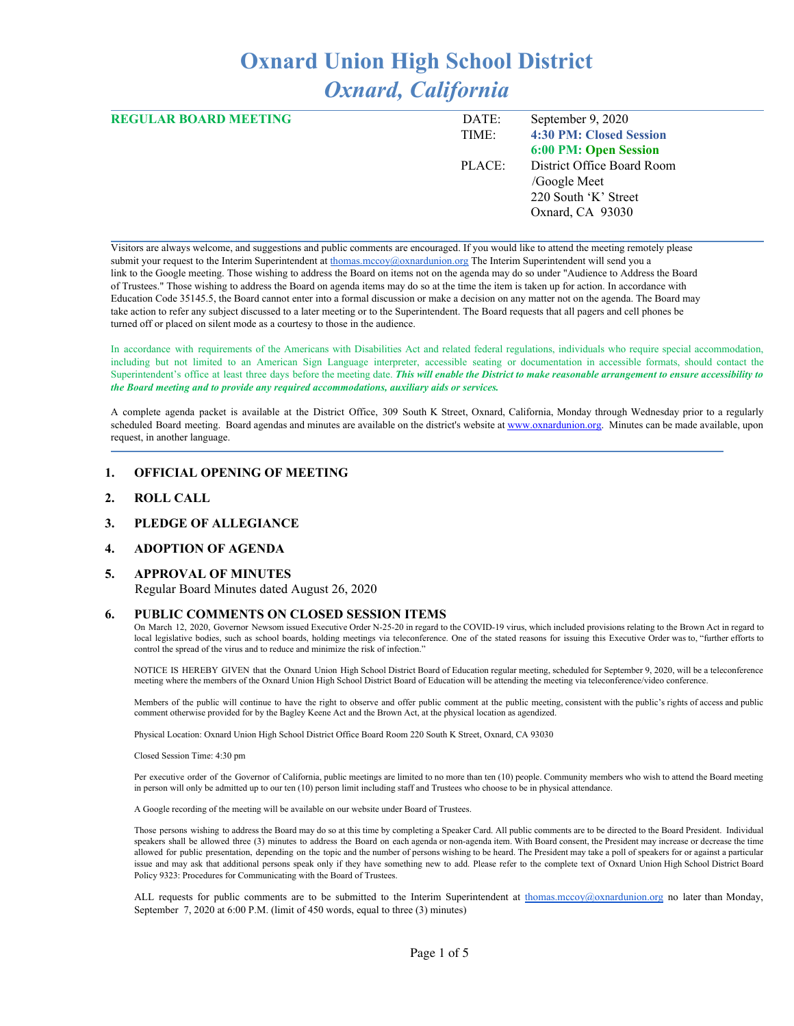# **Oxnard Union High School District** *Oxnard, California*

| <b>REGULAR BOARD MEETING</b> | DATE:  | September 9, 2020          |
|------------------------------|--------|----------------------------|
|                              | TIME:  | 4:30 PM: Closed Session    |
|                              |        | 6:00 PM: Open Session      |
|                              | PLACE: | District Office Board Room |
|                              |        | /Google Meet               |
|                              |        | 220 South 'K' Street       |
|                              |        | Oxnard, CA 93030           |
|                              |        |                            |

Visitors are always welcome, and suggestions and public comments are encouraged. If you would like to attend the meeting remotely please submit your request to the Interim Superintendent at [thomas.mccoy@oxnardunion.org](mailto:thomas.mccoy@oxnardunion.org) The Interim Superintendent will send you a link to the Google meeting. Those wishing to address the Board on items not on the agenda may do so under "Audience to Address the Board of Trustees." Those wishing to address the Board on agenda items may do so at the time the item is taken up for action. In accordance with Education Code 35145.5, the Board cannot enter into a formal discussion or make a decision on any matter not on the agenda. The Board may take action to refer any subject discussed to a later meeting or to the Superintendent. The Board requests that all pagers and cell phones be turned off or placed on silent mode as a courtesy to those in the audience.

In accordance with requirements of the Americans with Disabilities Act and related federal regulations, individuals who require special accommodation, including but not limited to an American Sign Language interpreter, accessible seating or documentation in accessible formats, should contact the Superintendent's office at least three days before the meeting date. This will enable the District to make reasonable arrangement to ensure accessibility to *the Board meeting and to provide any required accommodations, auxiliary aids or services.*

A complete agenda packet is available at the District Office, 309 South K Street, Oxnard, California, Monday through Wednesday prior to a regularly scheduled Board meeting. Board agendas and minutes are available on the district's website at [www.ox](http://www.o/)nardunion.org. Minutes can be made available, upon request, in another language.

#### **1. OFFICIAL OPENING OF MEETING**

**2. ROLL CALL**

#### **3. PLEDGE OF ALLEGIANCE**

#### **4. ADOPTION OF AGENDA**

#### **5. APPROVAL OF MINUTES**

Regular Board Minutes dated August 26, 2020

#### **6. PUBLIC COMMENTS ON CLOSED SESSION ITEMS**

On March 12, 2020, Governor Newsom issued Executive Order N-25-20 in regard to the COVID-19 virus, which included provisions relating to the Brown Act in regard to local legislative bodies, such as school boards, holding meetings via teleconference. One of the stated reasons for issuing this Executive Order was to, "further efforts to control the spread of the virus and to reduce and minimize the risk of infection."

NOTICE IS HEREBY GIVEN that the Oxnard Union High School District Board of Education regular meeting, scheduled for September 9, 2020, will be a teleconference meeting where the members of the Oxnard Union High School District Board of Education will be attending the meeting via teleconference/video conference.

Members of the public will continue to have the right to observe and offer public comment at the public meeting, consistent with the public's rights of access and public comment otherwise provided for by the Bagley Keene Act and the Brown Act, at the physical location as agendized.

Physical Location: Oxnard Union High School District Office Board Room 220 South K Street, Oxnard, CA 93030

Closed Session Time: 4:30 pm

Per executive order of the Governor of California, public meetings are limited to no more than ten (10) people. Community members who wish to attend the Board meeting in person will only be admitted up to our ten (10) person limit including staff and Trustees who choose to be in physical attendance.

A Google recording of the meeting will be available on our website under Board of Trustees.

Those persons wishing to address the Board may do so at this time by completing a Speaker Card. All public comments are to be directed to the Board President. Individual speakers shall be allowed three (3) minutes to address the Board on each agenda or non-agenda item. With Board consent, the President may increase or decrease the time allowed for public presentation, depending on the topic and the number of persons wishing to be heard. The President may take a poll of speakers for or against a particular issue and may ask that additional persons speak only if they have something new to add. Please refer to the complete text of Oxnard Union High School District Board Policy 9323: Procedures for Communicating with the Board of Trustees.

ALL requests for public comments are to be submitted to the Interim Superintendent at [thomas.mccoy@oxnardunion.org](mailto:thomas.mccoy@oxnardunion.org) no later than Monday, September 7, 2020 at 6:00 P.M. (limit of 450 words, equal to three (3) minutes)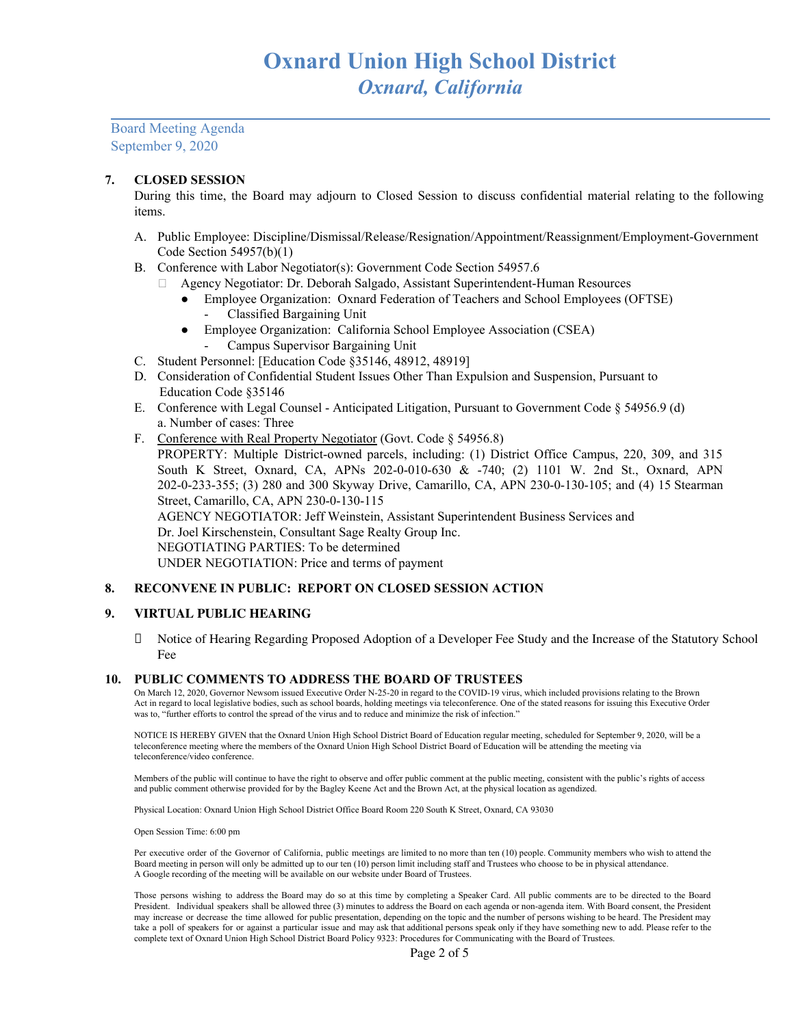Board Meeting Agenda September 9, 2020

#### **7. CLOSED SESSION**

During this time, the Board may adjourn to Closed Session to discuss confidential material relating to the following items.

- A. Public Employee: Discipline/Dismissal/Release/Resignation/Appointment/Reassignment/Employment-Government Code Section 54957(b)(1)
- B. Conference with Labor Negotiator(s): Government Code Section 54957.6
	- Agency Negotiator: Dr. Deborah Salgado, Assistant Superintendent-Human Resources
		- Employee Organization: Oxnard Federation of Teachers and School Employees (OFTSE)
			- Classified Bargaining Unit
		- Employee Organization: California School Employee Association (CSEA)
			- Campus Supervisor Bargaining Unit
- C. Student Personnel: [Education Code §35146, 48912, 48919]
- D. Consideration of Confidential Student Issues Other Than Expulsion and Suspension, Pursuant to Education Code §35146
- E. Conference with Legal Counsel Anticipated Litigation, Pursuant to Government Code § 54956.9 (d) a. Number of cases: Three
- F. Conference with Real Property Negotiator (Govt. Code § 54956.8) PROPERTY: Multiple District-owned parcels, including: (1) District Office Campus, 220, 309, and 315 South K Street, Oxnard, CA, APNs 202-0-010-630 & -740; (2) 1101 W. 2nd St., Oxnard, APN 202-0-233-355; (3) 280 and 300 Skyway Drive, Camarillo, CA, APN 230-0-130-105; and (4) 15 Stearman Street, Camarillo, CA, APN 230-0-130-115 AGENCY NEGOTIATOR: Jeff Weinstein, Assistant Superintendent Business Services and Dr. Joel Kirschenstein, Consultant Sage Realty Group Inc. NEGOTIATING PARTIES: To be determined UNDER NEGOTIATION: Price and terms of payment

### **8. RECONVENE IN PUBLIC: REPORT ON CLOSED SESSION ACTION**

#### **9. VIRTUAL PUBLIC HEARING**

 Notice of Hearing Regarding Proposed Adoption of a Developer Fee Study and the Increase of the Statutory School Fee

#### **10. PUBLIC COMMENTS TO ADDRESS THE BOARD OF TRUSTEES**

On March 12, 2020, Governor Newsom issued Executive Order N-25-20 in regard to the COVID-19 virus, which included provisions relating to the Brown Act in regard to local legislative bodies, such as school boards, holding meetings via teleconference. One of the stated reasons for issuing this Executive Order was to, "further efforts to control the spread of the virus and to reduce and minimize the risk of infection."

NOTICE IS HEREBY GIVEN that the Oxnard Union High School District Board of Education regular meeting, scheduled for September 9, 2020, will be a teleconference meeting where the members of the Oxnard Union High School District Board of Education will be attending the meeting via teleconference/video conference.

Members of the public will continue to have the right to observe and offer public comment at the public meeting, consistent with the public's rights of access and public comment otherwise provided for by the Bagley Keene Act and the Brown Act, at the physical location as agendized.

Physical Location: Oxnard Union High School District Office Board Room 220 South K Street, Oxnard, CA 93030

Open Session Time: 6:00 pm

Per executive order of the Governor of California, public meetings are limited to no more than ten (10) people. Community members who wish to attend the Board meeting in person will only be admitted up to our ten (10) person limit including staff and Trustees who choose to be in physical attendance. A Google recording of the meeting will be available on our website under Board of Trustees.

Those persons wishing to address the Board may do so at this time by completing a Speaker Card. All public comments are to be directed to the Board President. Individual speakers shall be allowed three (3) minutes to address the Board on each agenda or non-agenda item. With Board consent, the President may increase or decrease the time allowed for public presentation, depending on the topic and the number of persons wishing to be heard. The President may take a poll of speakers for or against a particular issue and may ask that additional persons speak only if they have something new to add. Please refer to the complete text of Oxnard Union High School District Board Policy 9323: Procedures for Communicating with the Board of Trustees.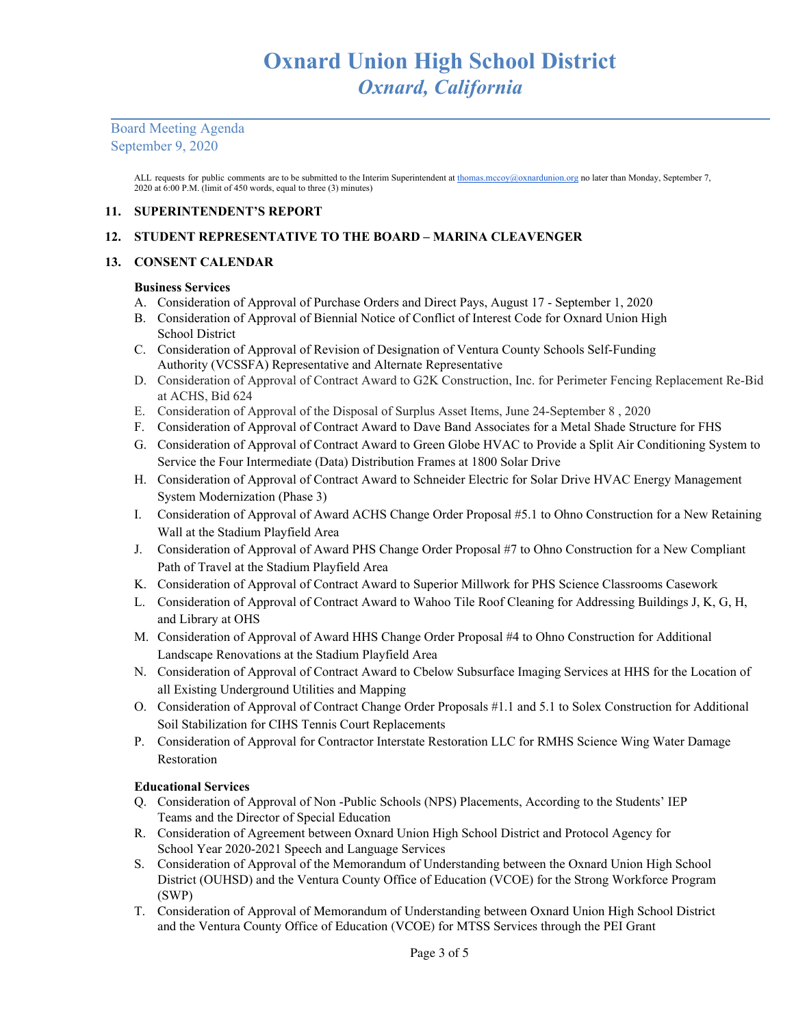Board Meeting Agenda September 9, 2020

> ALL requests for public comments are to be submitted to the Interim Superintendent at [thomas.mccoy@oxnardunion.org](mailto:thomas.mccoy@oxnardunion.org) no later than Monday, September 7, 2020 at 6:00 P.M. (limit of 450 words, equal to three (3) minutes)

### **11. SUPERINTENDENT'S REPORT**

## **12. STUDENT REPRESENTATIVE TO THE BOARD – MARINA CLEAVENGER**

## **13. CONSENT CALENDAR**

### **Business Services**

- A. Consideration of Approval of Purchase Orders and Direct Pays, August 17 September 1, 2020
- B. Consideration of Approval of Biennial Notice of Conflict of Interest Code for Oxnard Union High School District
- C. Consideration of Approval of Revision of Designation of Ventura County Schools Self-Funding Authority (VCSSFA) Representative and Alternate Representative
- D. Consideration of Approval of Contract Award to G2K Construction, Inc. for Perimeter Fencing Replacement Re-Bid at ACHS, Bid 624
- E. Consideration of Approval of the Disposal of Surplus Asset Items, June 24-September 8 , 2020
- F. Consideration of Approval of Contract Award to Dave Band Associates for a Metal Shade Structure for FHS
- G. Consideration of Approval of Contract Award to Green Globe HVAC to Provide a Split Air Conditioning System to Service the Four Intermediate (Data) Distribution Frames at 1800 Solar Drive
- H. Consideration of Approval of Contract Award to Schneider Electric for Solar Drive HVAC Energy Management System Modernization (Phase 3)
- I. Consideration of Approval of Award ACHS Change Order Proposal #5.1 to Ohno Construction for a New Retaining Wall at the Stadium Playfield Area
- J. Consideration of Approval of Award PHS Change Order Proposal #7 to Ohno Construction for a New Compliant Path of Travel at the Stadium Playfield Area
- K. Consideration of Approval of Contract Award to Superior Millwork for PHS Science Classrooms Casework
- L. Consideration of Approval of Contract Award to Wahoo Tile Roof Cleaning for Addressing Buildings J, K, G, H, and Library at OHS
- M. Consideration of Approval of Award HHS Change Order Proposal #4 to Ohno Construction for Additional Landscape Renovations at the Stadium Playfield Area
- N. Consideration of Approval of Contract Award to Cbelow Subsurface Imaging Services at HHS for the Location of all Existing Underground Utilities and Mapping
- O. Consideration of Approval of Contract Change Order Proposals #1.1 and 5.1 to Solex Construction for Additional Soil Stabilization for CIHS Tennis Court Replacements
- P. Consideration of Approval for Contractor Interstate Restoration LLC for RMHS Science Wing Water Damage Restoration

## **Educational Services**

- Q. Consideration of Approval of Non -Public Schools (NPS) Placements, According to the Students' IEP Teams and the Director of Special Education
- R. Consideration of Agreement between Oxnard Union High School District and Protocol Agency for School Year 2020-2021 Speech and Language Services
- S. Consideration of Approval of the Memorandum of Understanding between the Oxnard Union High School District (OUHSD) and the Ventura County Office of Education (VCOE) for the Strong Workforce Program (SWP)
- T. Consideration of Approval of Memorandum of Understanding between Oxnard Union High School District and the Ventura County Office of Education (VCOE) for MTSS Services through the PEI Grant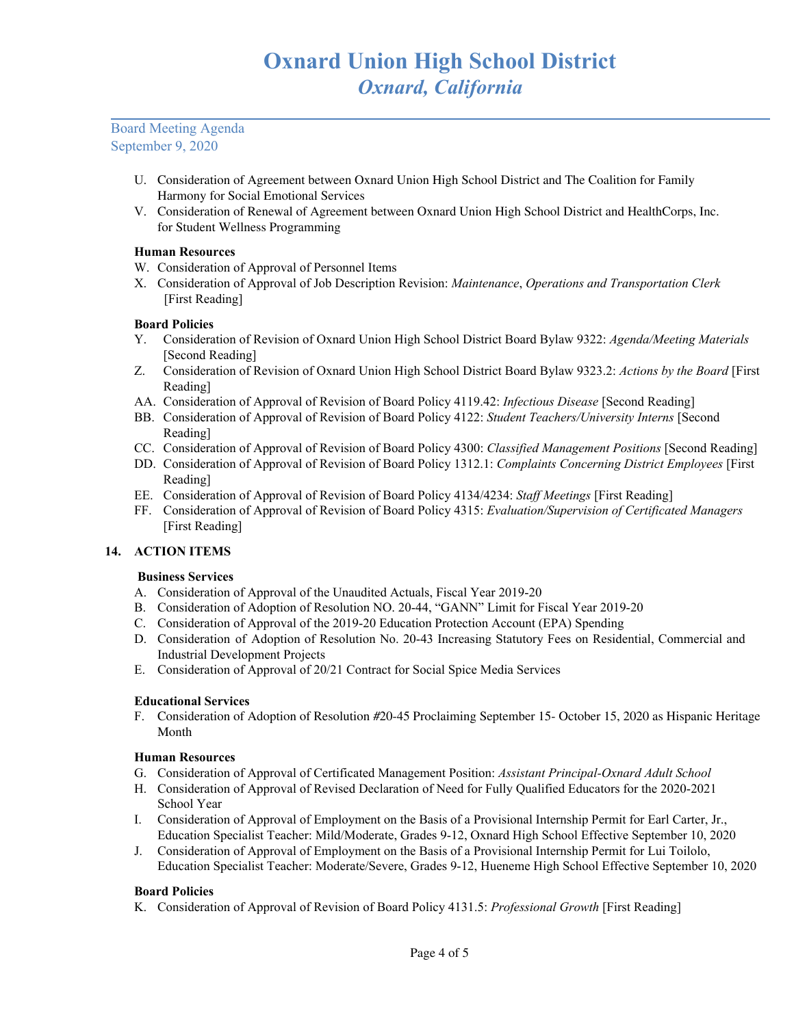## Board Meeting Agenda September 9, 2020

- U. Consideration of Agreement between Oxnard Union High School District and The Coalition for Family Harmony for Social Emotional Services
- V. Consideration of Renewal of Agreement between Oxnard Union High School District and HealthCorps, Inc. for Student Wellness Programming

## **Human Resources**

- W. Consideration of Approval of Personnel Items
- X. Consideration of Approval of Job Description Revision: *Maintenance*, *Operations and Transportation Clerk* [First Reading]

## **Board Policies**

- Y. Consideration of Revision of Oxnard Union High School District Board Bylaw 9322: *Agenda/Meeting Materials* [Second Reading]
- Z. Consideration of Revision of Oxnard Union High School District Board Bylaw 9323.2: *Actions by the Board* [First Reading]
- AA. Consideration of Approval of Revision of Board Policy 4119.42: *Infectious Disease* [Second Reading]
- BB. Consideration of Approval of Revision of Board Policy 4122: *Student Teachers/University Interns* [Second Reading]
- CC. Consideration of Approval of Revision of Board Policy 4300: *Classified Management Positions* [Second Reading]
- DD. Consideration of Approval of Revision of Board Policy 1312.1: *Complaints Concerning District Employees* [First Reading]
- EE. Consideration of Approval of Revision of Board Policy 4134/4234: *Staf Meetings* [First Reading]
- FF. Consideration of Approval of Revision of Board Policy 4315: *Evaluation/Supervision of Certificated Managers* [First Reading]

## **14. ACTION ITEMS**

### **Business Services**

- A. Consideration of Approval of the Unaudited Actuals, Fiscal Year 2019-20
- B. Consideration of Adoption of Resolution NO. 20-44, "GANN" Limit for Fiscal Year 2019-20
- C. Consideration of Approval of the 2019-20 Education Protection Account (EPA) Spending
- D. Consideration of Adoption of Resolution No. 20-43 Increasing Statutory Fees on Residential, Commercial and Industrial Development Projects
- E. Consideration of Approval of 20/21 Contract for Social Spice Media Services

### **Educational Services**

F. Consideration of Adoption of Resolution #20-45 Proclaiming September 15- October 15, 2020 as Hispanic Heritage Month

### **Human Resources**

- G. Consideration of Approval of Certificated Management Position: *Assistant Principal-Oxnard Adult School*
- H. Consideration of Approval of Revised Declaration of Need for Fully Qualified Educators for the 2020-2021 School Year
- I. Consideration of Approval of Employment on the Basis of a Provisional Internship Permit for Earl Carter, Jr., Education Specialist Teacher: Mild/Moderate, Grades 9-12, Oxnard High School Effective September 10, 2020
- J. Consideration of Approval of Employment on the Basis of a Provisional Internship Permit for Lui Toilolo, Education Specialist Teacher: Moderate/Severe, Grades 9-12, Hueneme High School Effective September 10, 2020

### **Board Policies**

K. Consideration of Approval of Revision of Board Policy 4131.5: *Professional Growth* [First Reading]